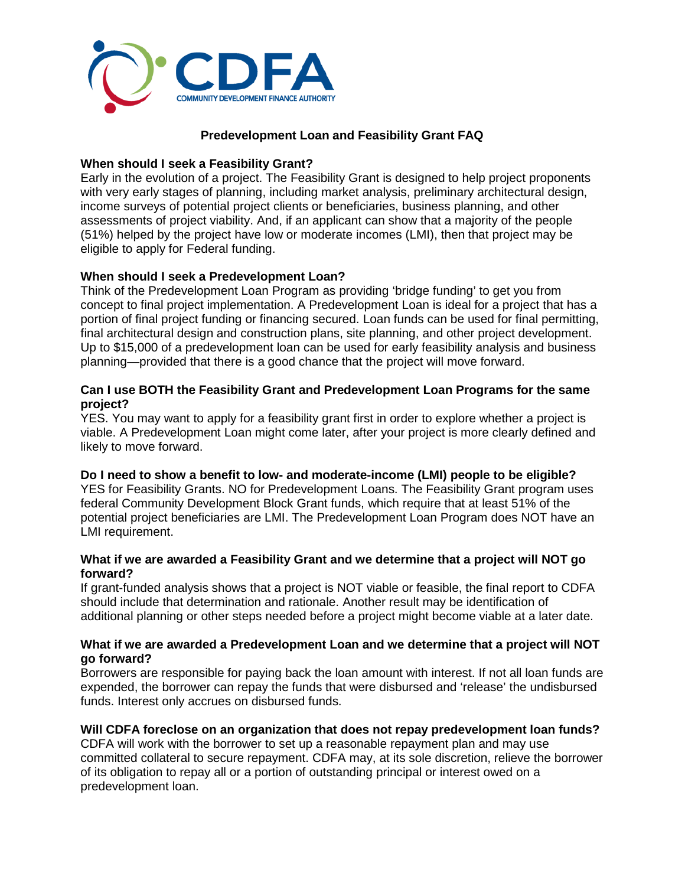

## **Predevelopment Loan and Feasibility Grant FAQ**

## **When should I seek a Feasibility Grant?**

Early in the evolution of a project. The Feasibility Grant is designed to help project proponents with very early stages of planning, including market analysis, preliminary architectural design, income surveys of potential project clients or beneficiaries, business planning, and other assessments of project viability. And, if an applicant can show that a majority of the people (51%) helped by the project have low or moderate incomes (LMI), then that project may be eligible to apply for Federal funding.

# **When should I seek a Predevelopment Loan?**

Think of the Predevelopment Loan Program as providing 'bridge funding' to get you from concept to final project implementation. A Predevelopment Loan is ideal for a project that has a portion of final project funding or financing secured. Loan funds can be used for final permitting, final architectural design and construction plans, site planning, and other project development. Up to \$15,000 of a predevelopment loan can be used for early feasibility analysis and business planning—provided that there is a good chance that the project will move forward.

## **Can I use BOTH the Feasibility Grant and Predevelopment Loan Programs for the same project?**

YES. You may want to apply for a feasibility grant first in order to explore whether a project is viable. A Predevelopment Loan might come later, after your project is more clearly defined and likely to move forward.

#### **Do I need to show a benefit to low- and moderate-income (LMI) people to be eligible?**

YES for Feasibility Grants. NO for Predevelopment Loans. The Feasibility Grant program uses federal Community Development Block Grant funds, which require that at least 51% of the potential project beneficiaries are LMI. The Predevelopment Loan Program does NOT have an LMI requirement.

#### **What if we are awarded a Feasibility Grant and we determine that a project will NOT go forward?**

If grant-funded analysis shows that a project is NOT viable or feasible, the final report to CDFA should include that determination and rationale. Another result may be identification of additional planning or other steps needed before a project might become viable at a later date.

#### **What if we are awarded a Predevelopment Loan and we determine that a project will NOT go forward?**

Borrowers are responsible for paying back the loan amount with interest. If not all loan funds are expended, the borrower can repay the funds that were disbursed and 'release' the undisbursed funds. Interest only accrues on disbursed funds.

#### **Will CDFA foreclose on an organization that does not repay predevelopment loan funds?**

CDFA will work with the borrower to set up a reasonable repayment plan and may use committed collateral to secure repayment. CDFA may, at its sole discretion, relieve the borrower of its obligation to repay all or a portion of outstanding principal or interest owed on a predevelopment loan.